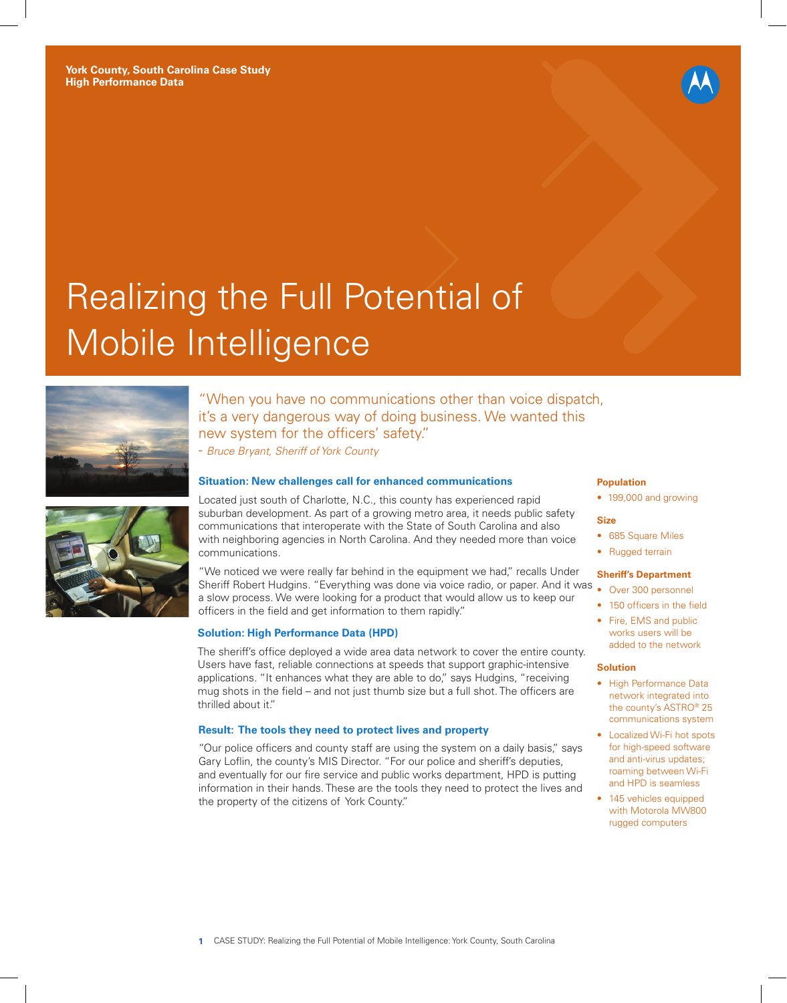

# Realizing the Full Potential of Mobile Intelligence





"When you have no communications other than voice dispatch, it's a very dangerous way of doing business. We wanted this new system for the officers' safety."

- *Bruce Bryant, Sheriff of York County*

## **Situation: New challenges call for enhanced communications**

Located just south of Charlotte, N.C., this county has experienced rapid suburban development. As part of a growing metro area, it needs public safety communications that interoperate with the State of South Carolina and also with neighboring agencies in North Carolina. And they needed more than voice communications.

"We noticed we were really far behind in the equipment we had," recalls Under Sheriff Robert Hudgins. "Everything was done via voice radio, or paper. And it was • Over 300 personnel a slow process. We were looking for a product that would allow us to keep our officers in the field and get information to them rapidly."

## **Solution: High Performance Data (HPD)**

The sheriff's office deployed a wide area data network to cover the entire county. Users have fast, reliable connections at speeds that support graphic-intensive applications. "It enhances what they are able to do," says Hudgins, "receiving mug shots in the field – and not just thumb size but a full shot. The officers are thrilled about it."

## **Result: The tools they need to protect lives and property**

"Our police officers and county staff are using the system on a daily basis," says Gary Loflin, the county's MIS Director. "For our police and sheriff's deputies, and eventually for our fire service and public works department, HPD is putting information in their hands. These are the tools they need to protect the lives and the property of the citizens of York County."

#### **Population**

• 199,000 and growing

#### **Size**

- 685 Square Miles
- Rugged terrain

#### **Sheriff's Department**

- 
- 150 officers in the field
- Fire, EMS and public works users will be added to the network

#### **Solution**

- High Performance Data network integrated into the county's ASTRO® 25 communications system
- Localized Wi-Fi hot spots for high-speed software and anti-virus updates; roaming between Wi-Fi and HPD is seamless
- 145 vehicles equipped with Motorola MW800 rugged computers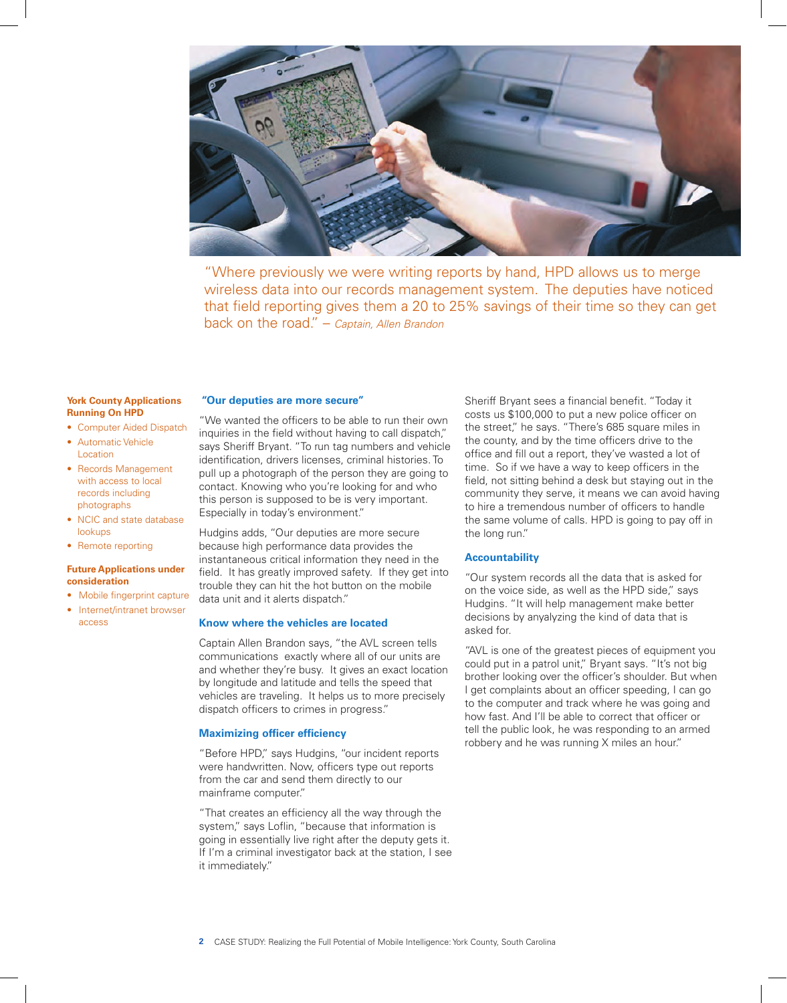

"Where previously we were writing reports by hand, HPD allows us to merge wireless data into our records management system. The deputies have noticed that field reporting gives them a 20 to 25% savings of their time so they can get back on the road." – *Captain, Allen Brandon*

#### **York County Applications Running On HPD**

- Computer Aided Dispatch
- Automatic Vehicle Location
- Records Management with access to local records including photographs
- NCIC and state database lookups
- Remote reporting

#### **Future Applications under consideration**

- Mobile fingerprint capture
- Internet/intranet browser access

#### **"Our deputies are more secure"**

"We wanted the officers to be able to run their own inquiries in the field without having to call dispatch," says Sheriff Bryant. "To run tag numbers and vehicle identification, drivers licenses, criminal histories. To pull up a photograph of the person they are going to contact. Knowing who you're looking for and who this person is supposed to be is very important. Especially in today's environment."

Hudgins adds, "Our deputies are more secure because high performance data provides the instantaneous critical information they need in the field. It has greatly improved safety. If they get into trouble they can hit the hot button on the mobile data unit and it alerts dispatch."

## **Know where the vehicles are located**

Captain Allen Brandon says, "the AVL screen tells communications exactly where all of our units are and whether they're busy. It gives an exact location by longitude and latitude and tells the speed that vehicles are traveling. It helps us to more precisely dispatch officers to crimes in progress."

#### **Maximizing officer efficiency**

"Before HPD," says Hudgins, "our incident reports were handwritten. Now, officers type out reports from the car and send them directly to our mainframe computer."

"That creates an efficiency all the way through the system," says Loflin, "because that information is going in essentially live right after the deputy gets it. If I'm a criminal investigator back at the station, I see it immediately."

Sheriff Bryant sees a financial benefit. "Today it costs us \$100,000 to put a new police officer on the street," he says. "There's 685 square miles in the county, and by the time officers drive to the office and fill out a report, they've wasted a lot of time. So if we have a way to keep officers in the field, not sitting behind a desk but staying out in the community they serve, it means we can avoid having to hire a tremendous number of officers to handle the same volume of calls. HPD is going to pay off in the long run."

#### **Accountability**

"Our system records all the data that is asked for on the voice side, as well as the HPD side," says Hudgins. "It will help management make better decisions by anyalyzing the kind of data that is asked for.

"AVL is one of the greatest pieces of equipment you could put in a patrol unit," Bryant says. "It's not big brother looking over the officer's shoulder. But when I get complaints about an officer speeding, I can go to the computer and track where he was going and how fast. And I'll be able to correct that officer or tell the public look, he was responding to an armed robbery and he was running X miles an hour."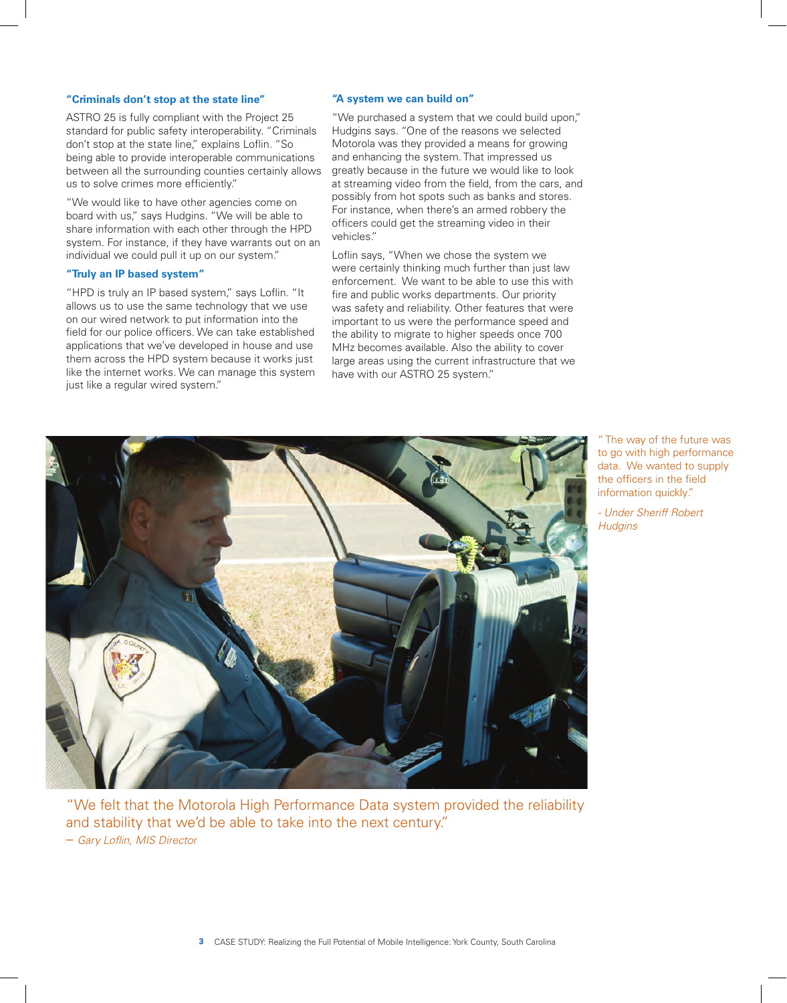# **"Criminals don't stop at the state line"**

ASTRO 25 is fully compliant with the Project 25 standard for public safety interoperability. "Criminals don't stop at the state line," explains Loflin. "So being able to provide interoperable communications between all the surrounding counties certainly allows us to solve crimes more efficiently."

"We would like to have other agencies come on board with us," says Hudgins. "We will be able to share information with each other through the HPD system. For instance, if they have warrants out on an individual we could pull it up on our system."

## **"Truly an IP based system"**

"HPD is truly an IP based system," says Loflin. "It allows us to use the same technology that we use on our wired network to put information into the field for our police officers. We can take established applications that we've developed in house and use them across the HPD system because it works just like the internet works. We can manage this system just like a regular wired system."

## **"A system we can build on"**

"We purchased a system that we could build upon," Hudgins says. "One of the reasons we selected Motorola was they provided a means for growing and enhancing the system. That impressed us greatly because in the future we would like to look at streaming video from the field, from the cars, and possibly from hot spots such as banks and stores. For instance, when there's an armed robbery the officers could get the streaming video in their vehicles."

Loflin says, "When we chose the system we were certainly thinking much further than just law enforcement. We want to be able to use this with fire and public works departments. Our priority was safety and reliability. Other features that were important to us were the performance speed and the ability to migrate to higher speeds once 700 MHz becomes available. Also the ability to cover large areas using the current infrastructure that we have with our ASTRO 25 system."



"We felt that the Motorola High Performance Data system provided the reliability and stability that we'd be able to take into the next century." – *Gary Loflin, MIS Director*

The way of the future was to go with high performance data. We wanted to supply the officers in the field information quickly."

*- Under Sheriff Robert Hudgins*